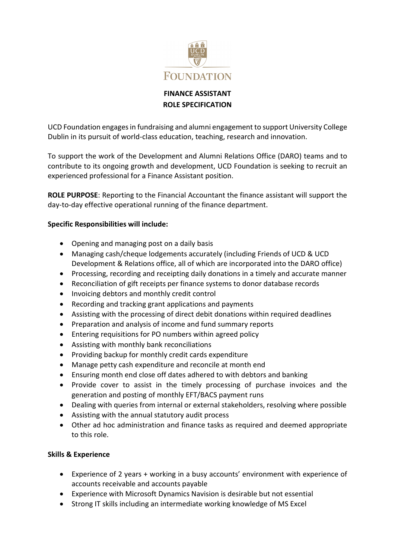

# **FINANCE ASSISTANT ROLE SPECIFICATION**

UCD Foundation engages in fundraising and alumni engagement to support University College Dublin in its pursuit of world-class education, teaching, research and innovation.

To support the work of the Development and Alumni Relations Office (DARO) teams and to contribute to its ongoing growth and development, UCD Foundation is seeking to recruit an experienced professional for a Finance Assistant position.

**ROLE PURPOSE**: Reporting to the Financial Accountant the finance assistant will support the day-to-day effective operational running of the finance department.

## **Specific Responsibilities will include:**

- Opening and managing post on a daily basis
- Managing cash/cheque lodgements accurately (including Friends of UCD & UCD Development & Relations office, all of which are incorporated into the DARO office)
- Processing, recording and receipting daily donations in a timely and accurate manner
- Reconciliation of gift receipts per finance systems to donor database records
- Invoicing debtors and monthly credit control
- Recording and tracking grant applications and payments
- Assisting with the processing of direct debit donations within required deadlines
- Preparation and analysis of income and fund summary reports
- Entering requisitions for PO numbers within agreed policy
- Assisting with monthly bank reconciliations
- Providing backup for monthly credit cards expenditure
- Manage petty cash expenditure and reconcile at month end
- Ensuring month end close off dates adhered to with debtors and banking
- Provide cover to assist in the timely processing of purchase invoices and the generation and posting of monthly EFT/BACS payment runs
- Dealing with queries from internal or external stakeholders, resolving where possible
- Assisting with the annual statutory audit process
- Other ad hoc administration and finance tasks as required and deemed appropriate to this role.

### **Skills & Experience**

- Experience of 2 years + working in a busy accounts' environment with experience of accounts receivable and accounts payable
- Experience with Microsoft Dynamics Navision is desirable but not essential
- Strong IT skills including an intermediate working knowledge of MS Excel